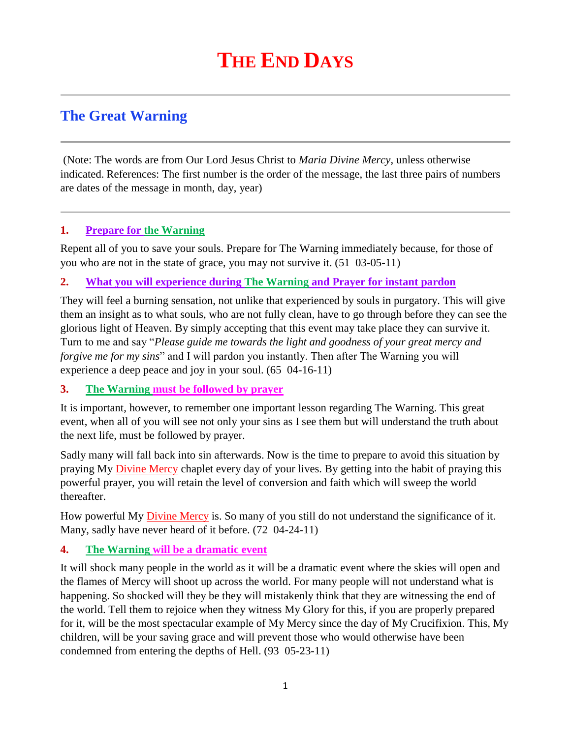# **The Great Warning**

(Note: The words are from Our Lord Jesus Christ to *Maria Divine Mercy*, unless otherwise indicated. References: The first number is the order of the message, the last three pairs of numbers are dates of the message in month, day, year)

### **1. Prepare for the Warning**

Repent all of you to save your souls. Prepare for The Warning immediately because, for those of you who are not in the state of grace, you may not survive it. (51 03-05-11)

### **2. [What you will experience during The Warning](http://www.thewarningsecondcoming.com/what-you-will-experience-during-the-warning) and Prayer for instant pardon**

They will feel a burning sensation, not unlike that experienced by souls in purgatory. This will give them an insight as to what souls, who are not fully clean, have to go through before they can see the glorious light of Heaven. By simply accepting that this event may take place they can survive it. Turn to me and say "*Please guide me towards the light and goodness of your great mercy and forgive me for my sins*" and I will pardon you instantly. Then after The Warning you will experience a deep peace and joy in your soul. (65 04-16-11)

#### **3. The Warning must be followed by prayer**

It is important, however, to remember one important lesson regarding The Warning. This great event, when all of you will see not only your sins as I see them but will understand the truth about the next life, must be followed by prayer.

Sadly many will fall back into sin afterwards. Now is the time to prepare to avoid this situation by praying My [Divine Mercy](http://www.thewarningsecondcoming.com/divine-mercy-chaplet/) chaplet every day of your lives. By getting into the habit of praying this powerful prayer, you will retain the level of conversion and faith which will sweep the world thereafter.

How powerful My **Divine Mercy** is. So many of you still do not understand the significance of it. Many, sadly have never heard of it before. (72 04-24-11)

#### **4. The Warning will be a dramatic event**

It will shock many people in the world as it will be a dramatic event where the skies will open and the flames of Mercy will shoot up across the world. For many people will not understand what is happening. So shocked will they be they will mistakenly think that they are witnessing the end of the world. Tell them to rejoice when they witness My Glory for this, if you are properly prepared for it, will be the most spectacular example of My Mercy since the day of My Crucifixion. This, My children, will be your saving grace and will prevent those who would otherwise have been condemned from entering the depths of Hell. (93 05-23-11)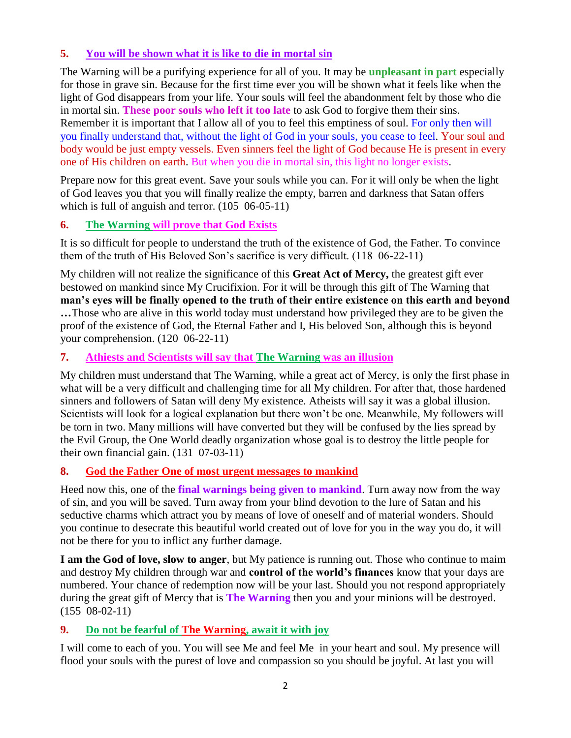# **5. You will be shown what it is like to die in mortal sin**

The Warning will be a purifying experience for all of you. It may be **unpleasant in part** especially for those in grave sin. Because for the first time ever you will be shown what it feels like when the light of God disappears from your life. Your souls will feel the abandonment felt by those who die in mortal sin. **These poor souls who left it too late** to ask God to forgive them their sins. Remember it is important that I allow all of you to feel this emptiness of soul. For only then will you finally understand that, without the light of God in your souls, you cease to feel. Your soul and body would be just empty vessels. Even sinners feel the light of God because He is present in every one of His children on earth. But when you die in mortal sin, this light no longer exists.

Prepare now for this great event. Save your souls while you can. For it will only be when the light of God leaves you that you will finally realize the empty, barren and darkness that Satan offers which is full of anguish and terror. (105 06-05-11)

### **6. [The Warning will prove that God Exists](http://www.thewarningsecondcoming.com/the-warning-will-prove-that-god-exists/)**

It is so difficult for people to understand the truth of the existence of God, the Father. To convince them of the truth of His Beloved Son's sacrifice is very difficult. (118 06-22-11)

My children will not realize the significance of this **Great Act of Mercy,** the greatest gift ever bestowed on mankind since My Crucifixion. For it will be through this gift of The Warning that **man's eyes will be finally opened to the truth of their entire existence on this earth and beyond …**Those who are alive in this world today must understand how privileged they are to be given the proof of the existence of God, the Eternal Father and I, His beloved Son, although this is beyond your comprehension. (120 06-22-11)

### **7. [Athiests and Scientists will say that The Warning](http://www.thewarningsecondcoming.com/athiests-and-scientists-will-say-that-the-warning-was-an-illusion/) was an illusion**

My children must understand that The Warning, while a great act of Mercy, is only the first phase in what will be a very difficult and challenging time for all My children. For after that, those hardened sinners and followers of Satan will deny My existence. Atheists will say it was a global illusion. Scientists will look for a logical explanation but there won't be one. Meanwhile, My followers will be torn in two. Many millions will have converted but they will be confused by the lies spread by the Evil Group, the One World deadly organization whose goal is to destroy the little people for their own financial gain. (131 07-03-11)

#### **8. [God the Father One of most urgent messages to mankind](http://www.thewarningsecondcoming.com/god-the-father-one-most-urgent-message-to-mankind/)**

Heed now this, one of the **final warnings being given to mankind**. Turn away now from the way of sin, and you will be saved. Turn away from your blind devotion to the lure of Satan and his seductive charms which attract you by means of love of oneself and of material wonders. Should you continue to desecrate this beautiful world created out of love for you in the way you do, it will not be there for you to inflict any further damage.

**I am the God of love, slow to anger**, but My patience is running out. Those who continue to maim and destroy My children through war and **control of the world's finances** know that your days are numbered. Your chance of redemption now will be your last. Should you not respond appropriately during the great gift of Mercy that is **The Warning** then you and your minions will be destroyed. (155 08-02-11)

# **9. [Do not be fearful of The Warning, await it with joy](http://www.thewarningsecondcoming.com/do-not-be-fearful-of-the-warning-await-it-with-joy/)**

I will come to each of you. You will see Me and feel Me in your heart and soul. My presence will flood your souls with the purest of love and compassion so you should be joyful. At last you will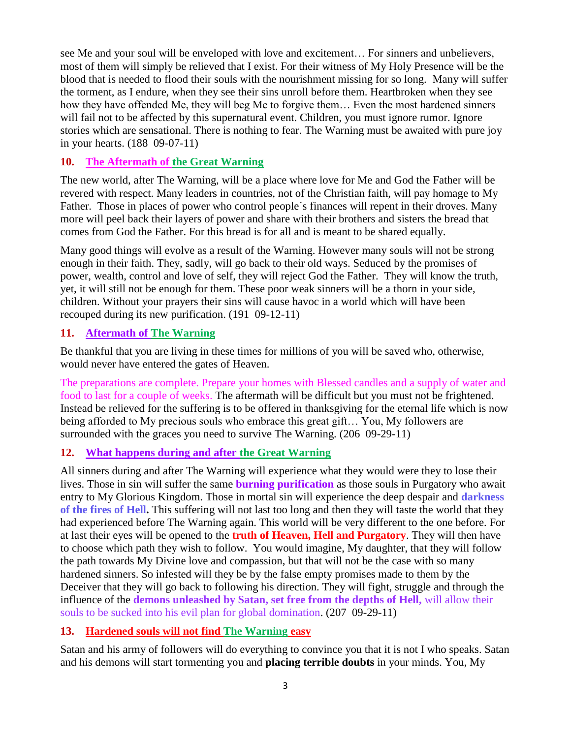see Me and your soul will be enveloped with love and excitement… For sinners and unbelievers, most of them will simply be relieved that I exist. For their witness of My Holy Presence will be the blood that is needed to flood their souls with the nourishment missing for so long. Many will suffer the torment, as I endure, when they see their sins unroll before them. Heartbroken when they see how they have offended Me, they will beg Me to forgive them… Even the most hardened sinners will fail not to be affected by this supernatural event. Children, you must ignore rumor. Ignore stories which are sensational. There is nothing to fear. The Warning must be awaited with pure joy in your hearts. (188 09-07-11)

### **10. The Aftermath of the Great Warning**

The new world, after The Warning, will be a place where love for Me and God the Father will be revered with respect. Many leaders in countries, not of the Christian faith, will pay homage to My Father. Those in places of power who control people´s finances will repent in their droves. Many more will peel back their layers of power and share with their brothers and sisters the bread that comes from God the Father. For this bread is for all and is meant to be shared equally.

Many good things will evolve as a result of the Warning. However many souls will not be strong enough in their faith. They, sadly, will go back to their old ways. Seduced by the promises of power, wealth, control and love of self, they will reject God the Father. They will know the truth, yet, it will still not be enough for them. These poor weak sinners will be a thorn in your side, children. Without your prayers their sins will cause havoc in a world which will have been recouped during its new purification. (191 09-12-11)

### **11. [Aftermath of The Warning](http://www.thewarningsecondcoming.com/aftermath-of-the-warning/)**

Be thankful that you are living in these times for millions of you will be saved who, otherwise, would never have entered the gates of Heaven.

The preparations are complete. Prepare your homes with Blessed candles and a supply of water and food to last for a couple of weeks. The aftermath will be difficult but you must not be frightened. Instead be relieved for the suffering is to be offered in thanksgiving for the eternal life which is now being afforded to My precious souls who embrace this great gift… You, My followers are surrounded with the graces you need to survive The Warning. (206 09-29-11)

#### **12. What happens during and after the Great Warning**

All sinners during and after The Warning will experience what they would were they to lose their lives. Those in sin will suffer the same **burning purification** as those souls in Purgatory who await entry to My Glorious Kingdom. Those in mortal sin will experience the deep despair and **darkness of the fires of Hell.** This suffering will not last too long and then they will taste the world that they had experienced before The Warning again. This world will be very different to the one before. For at last their eyes will be opened to the **truth of Heaven, Hell and Purgatory**. They will then have to choose which path they wish to follow. You would imagine, My daughter, that they will follow the path towards My Divine love and compassion, but that will not be the case with so many hardened sinners. So infested will they be by the false empty promises made to them by the Deceiver that they will go back to following his direction. They will fight, struggle and through the influence of the **demons unleashed by Satan, set free from the depths of Hell,** will allow their souls to be sucked into his evil plan for global domination. (207 09-29-11)

#### **13. [Hardened souls will not](http://www.thewarningsecondcoming.com/hardened-souls-will-not-find-the-warning-easy/) find The Warning easy**

Satan and his army of followers will do everything to convince you that it is not I who speaks. Satan and his demons will start tormenting you and **placing terrible doubts** in your minds. You, My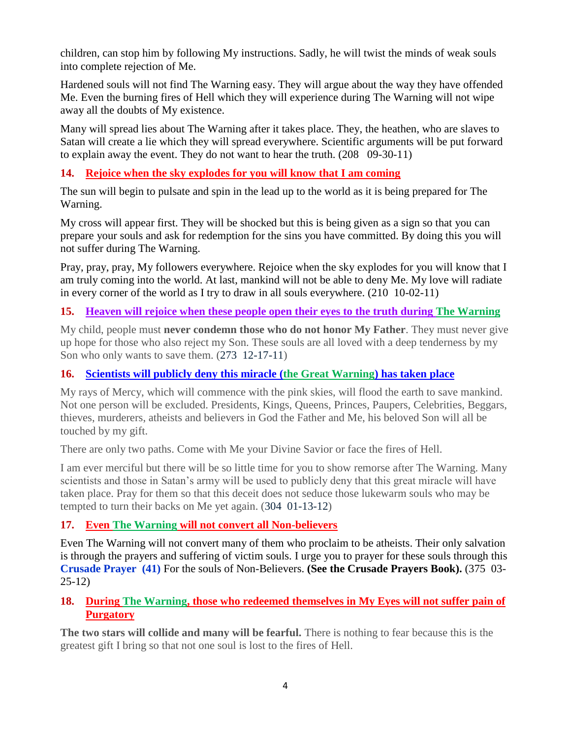children, can stop him by following My instructions. Sadly, he will twist the minds of weak souls into complete rejection of Me.

Hardened souls will not find The Warning easy. They will argue about the way they have offended Me. Even the burning fires of Hell which they will experience during The Warning will not wipe away all the doubts of My existence.

Many will spread lies about The Warning after it takes place. They, the heathen, who are slaves to Satan will create a lie which they will spread everywhere. Scientific arguments will be put forward to explain away the event. They do not want to hear the truth. (208 09-30-11)

### **14. [Rejoice when the sky explodes for you will know that I am coming](http://www.thewarningsecondcoming.com/rejoice-when-the-sky-explodes-for-you-will-know-that-i-am-coming/)**

The sun will begin to pulsate and spin in the lead up to the world as it is being prepared for The Warning.

My cross will appear first. They will be shocked but this is being given as a sign so that you can prepare your souls and ask for redemption for the sins you have committed. By doing this you will not suffer during The Warning.

Pray, pray, pray, My followers everywhere. Rejoice when the sky explodes for you will know that I am truly coming into the world. At last, mankind will not be able to deny Me. My love will radiate in every corner of the world as I try to draw in all souls everywhere. (210 10-02-11)

# **15. Heaven will rejoice when these people open their eyes to the truth during The Warning**

My child, people must **never condemn those who do not honor My Father**. They must never give up hope for those who also reject my Son. These souls are all loved with a deep tenderness by my Son who only wants to save them. (273 12-17-11)

#### **16. [Scientists will publicly deny this miracle \(the Great Warning\) has taken place](http://www.thewarningsecondcoming.com/scientists-will-publicly-deny-this-miracle-has-taken-place/)**

My rays of Mercy, which will commence with the pink skies, will flood the earth to save mankind. Not one person will be excluded. Presidents, Kings, Queens, Princes, Paupers, Celebrities, Beggars, thieves, murderers, atheists and believers in God the Father and Me, his beloved Son will all be touched by my gift.

There are only two paths. Come with Me your Divine Savior or face the fires of Hell.

I am ever merciful but there will be so little time for you to show remorse after The Warning. Many scientists and those in Satan's army will be used to publicly deny that this great miracle will have taken place. Pray for them so that this deceit does not seduce those lukewarm souls who may be tempted to turn their backs on Me yet again. (304 01-13-12)

# **17. Even The Warning [will not convert all Non-believers](http://www.thewarningsecondcoming.com/even-the-warning-will-not-convert-many-atheists/)**

Even The Warning will not convert many of them who proclaim to be atheists. Their only salvation is through the prayers and suffering of victim souls. I urge you to prayer for these souls through this **Crusade Prayer (41)** For the souls of Non-Believers. **(See the Crusade Prayers Book).** (375 03- 25-12)

### **18. [During The Warning, those who redeemed themselves in My Eyes will not suffer pain of](http://www.thewarningsecondcoming.com/during-the-warning-all-those-who-have-redeemed-themselves-in-my-eyes-will-not-suffer-the-pain-of-purgatory/)  [Purgatory](http://www.thewarningsecondcoming.com/during-the-warning-all-those-who-have-redeemed-themselves-in-my-eyes-will-not-suffer-the-pain-of-purgatory/)**

**The two stars will collide and many will be fearful.** There is nothing to fear because this is the greatest gift I bring so that not one soul is lost to the fires of Hell.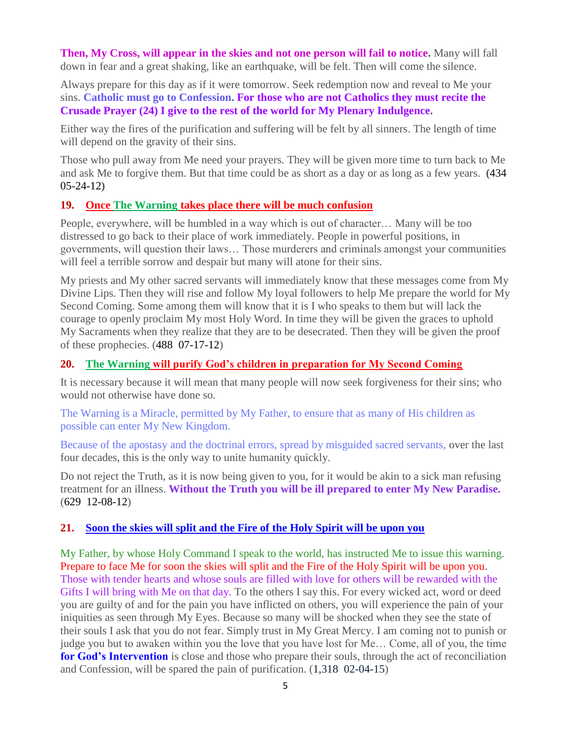**Then, My Cross, will appear in the skies and not one person will fail to notice.** Many will fall down in fear and a great shaking, like an earthquake, will be felt. Then will come the silence.

Always prepare for this day as if it were tomorrow. Seek redemption now and reveal to Me your sins. **Catholic must go to Confession. For those who are not Catholics they must recite the Crusade Prayer (24) I give to the rest of the world for My Plenary Indulgence.** 

Either way the fires of the purification and suffering will be felt by all sinners. The length of time will depend on the gravity of their sins.

Those who pull away from Me need your prayers. They will be given more time to turn back to Me and ask Me to forgive them. But that time could be as short as a day or as long as a few years. **(**434 05-24-12**)**

#### **19. Once The Warning [takes place there will be much confusion](http://www.thewarningsecondcoming.com/once-the-warning-takes-place-there-will-be-much-confusion/)**

People, everywhere, will be humbled in a way which is out of character… Many will be too distressed to go back to their place of work immediately. People in powerful positions, in governments, will question their laws… Those murderers and criminals amongst your communities will feel a terrible sorrow and despair but many will atone for their sins.

My priests and My other sacred servants will immediately know that these messages come from My Divine Lips. Then they will rise and follow My loyal followers to help Me prepare the world for My Second Coming. Some among them will know that it is I who speaks to them but will lack the courage to openly proclaim My most Holy Word. In time they will be given the graces to uphold My Sacraments when they realize that they are to be desecrated. Then they will be given the proof of these prophecies. (488 07-17-12)

# **20. The Warning [will purify God's children in preparation for My Second Coming](http://www.thewarningsecondcoming.com/the-warning-will-purify-gods-children-in-preparation-for-my-second-coming/)**

It is necessary because it will mean that many people will now seek forgiveness for their sins; who would not otherwise have done so.

The Warning is a Miracle, permitted by My Father, to ensure that as many of His children as possible can enter My New Kingdom.

Because of the apostasy and the doctrinal errors, spread by misguided sacred servants, over the last four decades, this is the only way to unite humanity quickly.

Do not reject the Truth, as it is now being given to you, for it would be akin to a sick man refusing treatment for an illness. **Without the Truth you will be ill prepared to enter My New Paradise.** (629 12-08-12)

#### **21. Soon the skies [will split and the Fire of the Holy Spirit will be upon you](http://www.thewarningsecondcoming.com/soon-the-skies-will-split-and-the-fire-of-the-holy-spirit-will-be-upon-you/)**

My Father, by whose Holy Command I speak to the world, has instructed Me to issue this warning. Prepare to face Me for soon the skies will split and the Fire of the Holy Spirit will be upon you. Those with tender hearts and whose souls are filled with love for others will be rewarded with the Gifts I will bring with Me on that day. To the others I say this. For every wicked act, word or deed you are guilty of and for the pain you have inflicted on others, you will experience the pain of your iniquities as seen through My Eyes. Because so many will be shocked when they see the state of their souls I ask that you do not fear. Simply trust in My Great Mercy. I am coming not to punish or judge you but to awaken within you the love that you have lost for Me… Come, all of you, the time **for God's Intervention** is close and those who prepare their souls, through the act of reconciliation and Confession, will be spared the pain of purification. (1,318 02-04-15)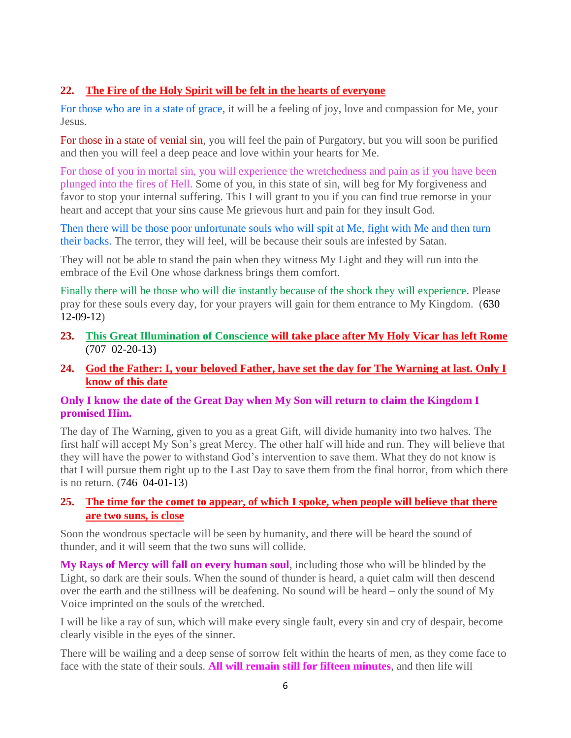#### **22. [The Fire of the Holy Spirit will be felt in the hearts of everyone](http://www.thewarningsecondcoming.com/the-fire-of-the-holy-spirit-will-be-felt-in-the-hearts-of-everyone/)**

For those who are in a state of grace, it will be a feeling of joy, love and compassion for Me, your Jesus.

For those in a state of venial sin, you will feel the pain of Purgatory, but you will soon be purified and then you will feel a deep peace and love within your hearts for Me.

For those of you in mortal sin, you will experience the wretchedness and pain as if you have been plunged into the fires of Hell. Some of you, in this state of sin, will beg for My forgiveness and favor to stop your internal suffering. This I will grant to you if you can find true remorse in your heart and accept that your sins cause Me grievous hurt and pain for they insult God.

Then there will be those poor unfortunate souls who will spit at Me, fight with Me and then turn their backs. The terror, they will feel, will be because their souls are infested by Satan.

They will not be able to stand the pain when they witness My Light and they will run into the embrace of the Evil One whose darkness brings them comfort.

Finally there will be those who will die instantly because of the shock they will experience. Please pray for these souls every day, for your prayers will gain for them entrance to My Kingdom. (630 12-09-12)

- **23. This Great Illumination of Conscience [will take place after My Holy Vicar has left Rome](http://www.thewarningsecondcoming.com/this-great-illumination-of-conscience-will-take-place-after-my-holy-vicar-has-left-rome/)** (707 02-20-13)
- **24. [God the Father: I, your beloved Father, have set the day for The Warning at last. Only I](http://www.thewarningsecondcoming.com/god-the-father-i-your-beloved-father-have-set-the-day-for-the-warning-at-last-only-i-know-of-this-date/)  [know of this date](http://www.thewarningsecondcoming.com/god-the-father-i-your-beloved-father-have-set-the-day-for-the-warning-at-last-only-i-know-of-this-date/)**

#### **Only I know the date of the Great Day when My Son will return to claim the Kingdom I promised Him.**

The day of The Warning, given to you as a great Gift, will divide humanity into two halves. The first half will accept My Son's great Mercy. The other half will hide and run. They will believe that they will have the power to withstand God's intervention to save them. What they do not know is that I will pursue them right up to the Last Day to save them from the final horror, from which there is no return. (746 04-01-13)

### **25. [The time for the comet to appear, of which I spoke, when people will believe that there](http://www.thewarningsecondcoming.com/the-time-for-the-comet-to-appear-of-which-i-spoke-when-people-will-believe-that-there-are-two-suns-is-close/)  [are two suns, is close](http://www.thewarningsecondcoming.com/the-time-for-the-comet-to-appear-of-which-i-spoke-when-people-will-believe-that-there-are-two-suns-is-close/)**

Soon the wondrous spectacle will be seen by humanity, and there will be heard the sound of thunder, and it will seem that the two suns will collide.

**My Rays of Mercy will fall on every human soul**, including those who will be blinded by the Light, so dark are their souls. When the sound of thunder is heard, a quiet calm will then descend over the earth and the stillness will be deafening. No sound will be heard – only the sound of My Voice imprinted on the souls of the wretched.

I will be like a ray of sun, which will make every single fault, every sin and cry of despair, become clearly visible in the eyes of the sinner.

There will be wailing and a deep sense of sorrow felt within the hearts of men, as they come face to face with the state of their souls. **All will remain still for fifteen minutes**, and then life will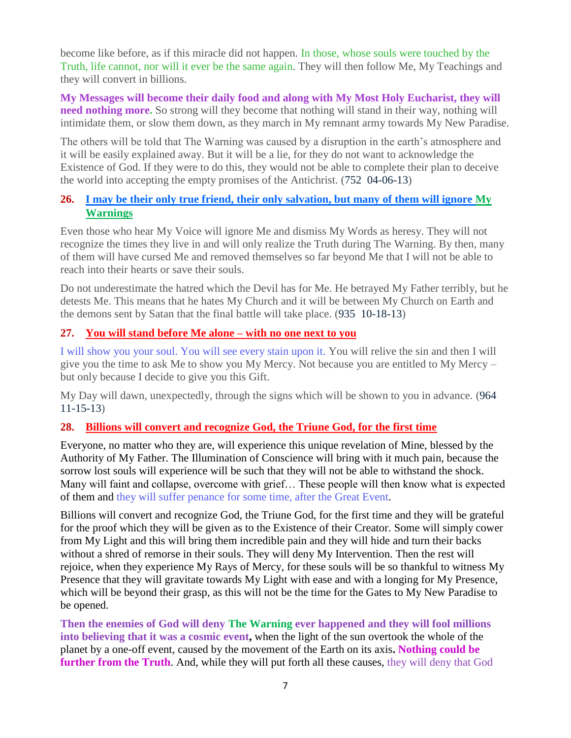become like before, as if this miracle did not happen. In those, whose souls were touched by the Truth, life cannot, nor will it ever be the same again. They will then follow Me, My Teachings and they will convert in billions.

**My Messages will become their daily food and along with My Most Holy Eucharist, they will need nothing more.** So strong will they become that nothing will stand in their way, nothing will intimidate them, or slow them down, as they march in My remnant army towards My New Paradise.

The others will be told that The Warning was caused by a disruption in the earth's atmosphere and it will be easily explained away. But it will be a lie, for they do not want to acknowledge the Existence of God. If they were to do this, they would not be able to complete their plan to deceive the world into accepting the empty promises of the Antichrist. (752 04-06-13)

### **26. [I may be their only true friend, their only salvation, but many of them will ignore My](http://www.thewarningsecondcoming.com/i-may-be-their-only-true-friend-their-only-salvation-but-many-of-them-will-ignore-my-warnings/)  [Warnings](http://www.thewarningsecondcoming.com/i-may-be-their-only-true-friend-their-only-salvation-but-many-of-them-will-ignore-my-warnings/)**

Even those who hear My Voice will ignore Me and dismiss My Words as heresy. They will not recognize the times they live in and will only realize the Truth during The Warning. By then, many of them will have cursed Me and removed themselves so far beyond Me that I will not be able to reach into their hearts or save their souls.

Do not underestimate the hatred which the Devil has for Me. He betrayed My Father terribly, but he detests Me. This means that he hates My Church and it will be between My Church on Earth and the demons sent by Satan that the final battle will take place. (935 10-18-13)

### **27. [You will stand before Me alone –](http://www.thewarningsecondcoming.com/you-will-stand-before-me-alone-with-no-one-next-to-you/) with no one next to you**

I will show you your soul. You will see every stain upon it. You will relive the sin and then I will give you the time to ask Me to show you My Mercy. Not because you are entitled to My Mercy – but only because I decide to give you this Gift.

My Day will dawn, unexpectedly, through the signs which will be shown to you in advance. (964 11-15-13)

#### **28. [Billions will convert and recognize God, the Triune God, for the first time](http://www.thewarningsecondcoming.com/billions-will-convert-and-recognise-god-the-triune-god-for-the-first-time/)**

Everyone, no matter who they are, will experience this unique revelation of Mine, blessed by the Authority of My Father. The Illumination of Conscience will bring with it much pain, because the sorrow lost souls will experience will be such that they will not be able to withstand the shock. Many will faint and collapse, overcome with grief… These people will then know what is expected of them and they will suffer penance for some time, after the Great Event.

Billions will convert and recognize God, the Triune God, for the first time and they will be grateful for the proof which they will be given as to the Existence of their Creator. Some will simply cower from My Light and this will bring them incredible pain and they will hide and turn their backs without a shred of remorse in their souls. They will deny My Intervention. Then the rest will rejoice, when they experience My Rays of Mercy, for these souls will be so thankful to witness My Presence that they will gravitate towards My Light with ease and with a longing for My Presence, which will be beyond their grasp, as this will not be the time for the Gates to My New Paradise to be opened.

**Then the enemies of God will deny The Warning ever happened and they will fool millions into believing that it was a cosmic event,** when the light of the sun overtook the whole of the planet by a one-off event, caused by the movement of the Earth on its axis**. Nothing could be further from the Truth**. And, while they will put forth all these causes, they will deny that God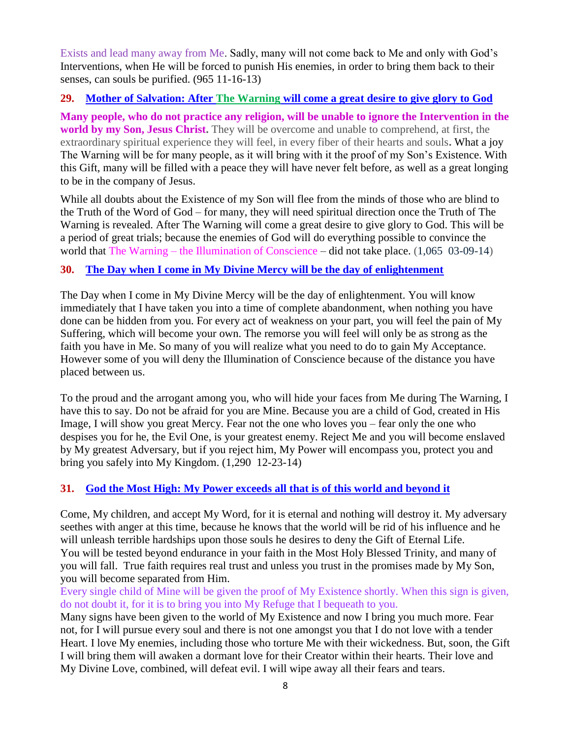Exists and lead many away from Me. Sadly, many will not come back to Me and only with God's Interventions, when He will be forced to punish His enemies, in order to bring them back to their senses, can souls be purified. (965 11-16-13)

### **29. Mother of Salvation: After The Warning [will come a great desire to give glory to God](http://www.thewarningsecondcoming.com/mother-of-salvation-after-the-warning-will-come-a-great-desire-to-give-glory-to-god-2/)**

**Many people, who do not practice any religion, will be unable to ignore the Intervention in the world by my Son, Jesus Christ.** They will be overcome and unable to comprehend, at first, the extraordinary spiritual experience they will feel, in every fiber of their hearts and souls**.** What a joy The Warning will be for many people, as it will bring with it the proof of my Son's Existence. With this Gift, many will be filled with a peace they will have never felt before, as well as a great longing to be in the company of Jesus.

While all doubts about the Existence of my Son will flee from the minds of those who are blind to the Truth of the Word of God – for many, they will need spiritual direction once the Truth of The Warning is revealed. After The Warning will come a great desire to give glory to God. This will be a period of great trials; because the enemies of God will do everything possible to convince the world that The Warning – the Illumination of Conscience – did not take place. (1,065 03-09-14)

# **30. [The Day when I come in My Divine Mercy will be the day of enlightenment](http://www.thewarningsecondcoming.com/the-day-when-i-come-in-my-divine-mercy-will-be-the-day-of-enlightenment/)**

The Day when I come in My Divine Mercy will be the day of enlightenment. You will know immediately that I have taken you into a time of complete abandonment, when nothing you have done can be hidden from you. For every act of weakness on your part, you will feel the pain of My Suffering, which will become your own. The remorse you will feel will only be as strong as the faith you have in Me. So many of you will realize what you need to do to gain My Acceptance. However some of you will deny the Illumination of Conscience because of the distance you have placed between us.

To the proud and the arrogant among you, who will hide your faces from Me during The Warning, I have this to say. Do not be afraid for you are Mine. Because you are a child of God, created in His Image, I will show you great Mercy. Fear not the one who loves you – fear only the one who despises you for he, the Evil One, is your greatest enemy. Reject Me and you will become enslaved by My greatest Adversary, but if you reject him, My Power will encompass you, protect you and bring you safely into My Kingdom. (1,290 12-23-14)

# **31. [God the Most High: My Power exceeds all that is of this world and beyond it](http://www.thewarningsecondcoming.com/god-the-most-high-my-power-exceeds-all-that-is-of-this-world-and-beyond-it/)**

Come, My children, and accept My Word, for it is eternal and nothing will destroy it. My adversary seethes with anger at this time, because he knows that the world will be rid of his influence and he will unleash terrible hardships upon those souls he desires to deny the Gift of Eternal Life. You will be tested beyond endurance in your faith in the Most Holy Blessed Trinity, and many of you will fall. True faith requires real trust and unless you trust in the promises made by My Son, you will become separated from Him.

Every single child of Mine will be given the proof of My Existence shortly. When this sign is given, do not doubt it, for it is to bring you into My Refuge that I bequeath to you.

Many signs have been given to the world of My Existence and now I bring you much more. Fear not, for I will pursue every soul and there is not one amongst you that I do not love with a tender Heart. I love My enemies, including those who torture Me with their wickedness. But, soon, the Gift I will bring them will awaken a dormant love for their Creator within their hearts. Their love and My Divine Love, combined, will defeat evil. I will wipe away all their fears and tears.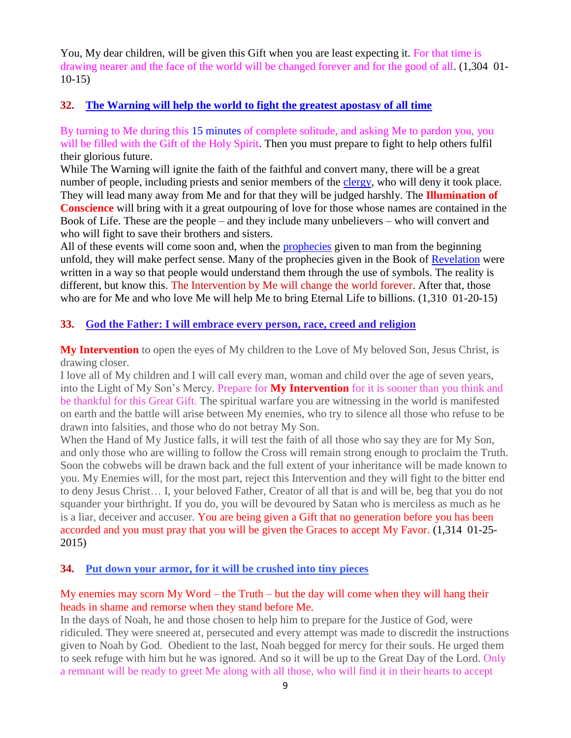You, My dear children, will be given this Gift when you are least expecting it. For that time is drawing nearer and the face of the world will be changed forever and for the good of all. (1,304 01- 10-15)

#### **32. [The Warning will help the world to fight the greatest apostasy of all time](http://www.thewarningsecondcoming.com/the-warning-will-help-the-world-to-fight-the-greatest-apostasy-of-all-time/)**

By turning to Me during this 15 minutes of complete solitude, and asking Me to pardon you, you will be filled with the Gift of the Holy Spirit. Then you must prepare to fight to help others fulfil their glorious future.

While The Warning will ignite the faith of the faithful and convert many, there will be a great number of people, including priests and senior members of the [clergy,](http://www.enddays.net/the-warning-will-help-the-world-to-fight-the-greatest-apostasy-of-all-time/) who will deny it took place. They will lead many away from Me and for that they will be judged harshly. The **Illumination of Conscience** will bring with it a great outpouring of love for those whose names are contained in the Book of Life. These are the people – and they include many unbelievers – who will convert and who will fight to save their brothers and sisters.

All of these events will come soon and, when the [prophecies](http://www.enddays.net/the-warning-will-help-the-world-to-fight-the-greatest-apostasy-of-all-time/) given to man from the beginning unfold, they will make perfect sense. Many of the prophecies given in the Book of [Revelation](http://www.enddays.net/the-warning-will-help-the-world-to-fight-the-greatest-apostasy-of-all-time/) were written in a way so that people would understand them through the use of symbols. The reality is different, but know this. The Intervention by Me will change the world forever. After that, those who are for Me and who love Me will help Me to bring Eternal Life to billions. (1,310 01-20-15)

#### **33. [God the Father: I will embrace every person, race, creed and religion](http://www.thewarningsecondcoming.com/god-the-father-i-will-embrace-every-person-race-creed-and-religion/)**

**My Intervention** to open the eyes of My children to the Love of My beloved Son, Jesus Christ, is drawing closer.

I love all of My children and I will call every man, woman and child over the age of seven years, into the Light of My Son's Mercy. Prepare for **My Intervention** for it is sooner than you think and be thankful for this Great Gift. The spiritual warfare you are witnessing in the world is manifested on earth and the battle will arise between My enemies, who try to silence all those who refuse to be drawn into falsities, and those who do not betray My Son.

When the Hand of My Justice falls, it will test the faith of all those who say they are for My Son, and only those who are willing to follow the Cross will remain strong enough to proclaim the Truth. Soon the cobwebs will be drawn back and the full extent of your inheritance will be made known to you. My Enemies will, for the most part, reject this Intervention and they will fight to the bitter end to deny Jesus Christ… I, your beloved Father, Creator of all that is and will be, beg that you do not squander your birthright. If you do, you will be devoured by Satan who is merciless as much as he is a liar, deceiver and accuser. You are being given a Gift that no generation before you has been accorded and you must pray that you will be given the Graces to accept My Favor. (1,314 01-25- 2015)

#### **34. [Put down your armor, for it will be crushed into tiny pieces](http://www.thewarningsecondcoming.com/put-down-your-armour-for-it-will-be-crushed-into-tiny-pieces/)**

#### My enemies may scorn My Word – the Truth – but the day will come when they will hang their heads in shame and remorse when they stand before Me.

In the days of Noah, he and those chosen to help him to prepare for the Justice of God, were ridiculed. They were sneered at, persecuted and every attempt was made to discredit the instructions given to Noah by God. Obedient to the last, Noah begged for mercy for their souls. He urged them to seek refuge with him but he was ignored. And so it will be up to the Great Day of the Lord. Only a remnant will be ready to greet Me along with all those, who will find it in their hearts to accept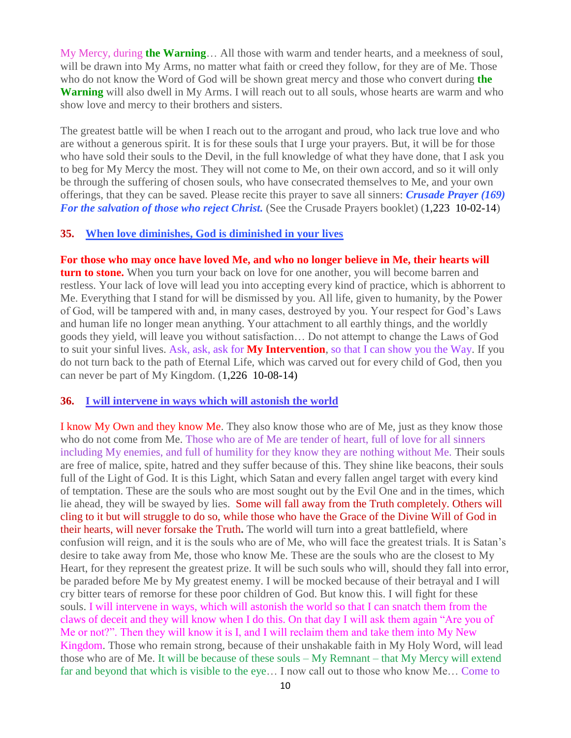My Mercy, during **the Warning**… All those with warm and tender hearts, and a meekness of soul, will be drawn into My Arms, no matter what faith or creed they follow, for they are of Me. Those who do not know the Word of God will be shown great mercy and those who convert during **the Warning** will also dwell in My Arms. I will reach out to all souls, whose hearts are warm and who show love and mercy to their brothers and sisters.

The greatest battle will be when I reach out to the arrogant and proud, who lack true love and who are without a generous spirit. It is for these souls that I urge your prayers. But, it will be for those who have sold their souls to the Devil, in the full knowledge of what they have done, that I ask you to beg for My Mercy the most. They will not come to Me, on their own accord, and so it will only be through the suffering of chosen souls, who have consecrated themselves to Me, and your own offerings, that they can be saved. Please recite this prayer to save all sinners: *Crusade Prayer (169) For the salvation of those who reject Christ.* (See the Crusade Prayers booklet) (1,223 10-02-14)

#### **35. [When love diminishes, God is diminished in your lives](http://www.thewarningsecondcoming.com/when-love-diminishes-god-is-diminished-in-your-lives/)**

**For those who may once have loved Me, and who no longer believe in Me, their hearts will turn to stone.** When you turn your back on love for one another, you will become barren and restless. Your lack of love will lead you into accepting every kind of practice, which is abhorrent to Me. Everything that I stand for will be dismissed by you. All life, given to humanity, by the Power of God, will be tampered with and, in many cases, destroyed by you. Your respect for God's Laws and human life no longer mean anything. Your attachment to all earthly things, and the worldly goods they yield, will leave you without satisfaction… Do not attempt to change the Laws of God to suit your sinful lives. Ask, ask, ask for **My Intervention**, so that I can show you the Way. If you do not turn back to the path of Eternal Life, which was carved out for every child of God, then you can never be part of My Kingdom. (1,226 10-08-14)

#### **36. [I will intervene in ways which will astonish the world](http://www.thewarningsecondcoming.com/i-will-intervene-in-ways-which-will-astonish-the-world/)**

I know My Own and they know Me. They also know those who are of Me, just as they know those who do not come from Me. Those who are of Me are tender of heart, full of love for all sinners including My enemies, and full of humility for they know they are nothing without Me. Their souls are free of malice, spite, hatred and they suffer because of this. They shine like beacons, their souls full of the Light of God. It is this Light, which Satan and every fallen angel target with every kind of temptation. These are the souls who are most sought out by the Evil One and in the times, which lie ahead, they will be swayed by lies. Some will fall away from the Truth completely. Others will cling to it but will struggle to do so, while those who have the Grace of the Divine Will of God in their hearts, will never forsake the Truth**.** The world will turn into a great battlefield, where confusion will reign, and it is the souls who are of Me, who will face the greatest trials. It is Satan's desire to take away from Me, those who know Me. These are the souls who are the closest to My Heart, for they represent the greatest prize. It will be such souls who will, should they fall into error, be paraded before Me by My greatest enemy. I will be mocked because of their betrayal and I will cry bitter tears of remorse for these poor children of God. But know this. I will fight for these souls. I will intervene in ways, which will astonish the world so that I can snatch them from the claws of deceit and they will know when I do this. On that day I will ask them again "Are you of Me or not?". Then they will know it is I, and I will reclaim them and take them into My New Kingdom. Those who remain strong, because of their unshakable faith in My Holy Word, will lead those who are of Me. It will be because of these souls – My Remnant – that My Mercy will extend far and beyond that which is visible to the eye… I now call out to those who know Me… Come to